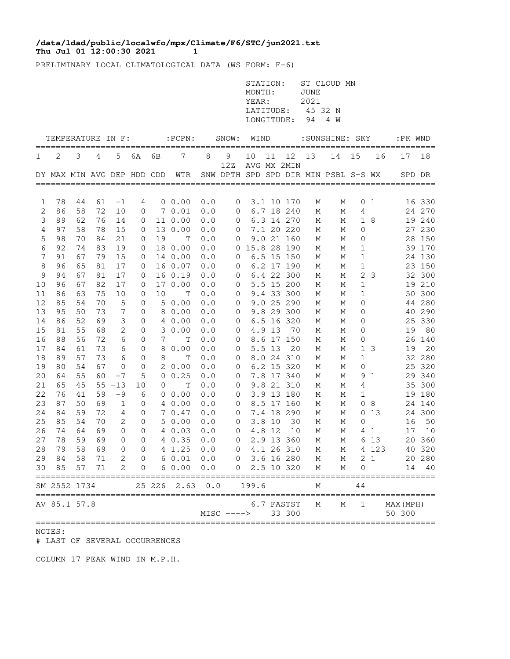## **Thu Jul 01 12:00:30 2021 1 /data/ldad/public/localwfo/mpx/Climate/F6/STC/jun2021.txt**

PRELIMINARY LOCAL CLIMATOLOGICAL DATA (WS FORM: F-6)

|          |                            |          |          |                   |                               |          |                     |            |                     | STATION:<br>MONTH:<br>YEAR:<br>LATITUDE:<br>LONGITUDE: |        |                          | <b>JUNE</b><br>2021<br>45 32 N<br>94 | ST CLOUD MN<br>4 W                   |                   |                |                                |                  |
|----------|----------------------------|----------|----------|-------------------|-------------------------------|----------|---------------------|------------|---------------------|--------------------------------------------------------|--------|--------------------------|--------------------------------------|--------------------------------------|-------------------|----------------|--------------------------------|------------------|
|          | TEMPERATURE IN F:          |          |          |                   |                               |          | $:$ PCPN $:$        |            | SNOW:               | WIND                                                   |        |                          |                                      | : SUNSHINE: SKY                      |                   |                | :PK WND                        | =====            |
| 1        | 2                          | 3        | 4        | 5                 | 6A                            | 6В       | 7                   | 8          | 9<br>12Z            | 10                                                     | 11     | 12<br>AVG MX 2MIN        | 13                                   | 14                                   | 15                | 16             | 17                             | 18               |
|          | DY MAX MIN AVG DEP HDD CDD |          |          |                   |                               |          | WTR                 |            | =================== |                                                        |        |                          |                                      | SNW DPTH SPD SPD DIR MIN PSBL S-S WX |                   |                | SPD DR                         |                  |
| 1        | 78                         | 44       | 61       | $-1$              | 4                             |          | $0\;\;0.00$         | 0.0        | $\mathbf 0$         |                                                        |        | 3.1 10 170               | М                                    | Μ                                    | 0                 | -1             |                                | 16 330           |
| 2        | 86                         | 58       | 72       | 10                | 0                             |          | 70.01               | 0.0        | 0                   |                                                        |        | 6.7 18 240               | М                                    | М                                    | 4                 |                |                                | 24 270           |
| 3        | 89                         | 62       | 76       | 14                | 0                             |          | 11 0.00             | 0.0        | 0                   |                                                        |        | 6.3 14 270               | М                                    | М                                    | 1                 | 8              |                                | 19 240           |
| 4        | 97<br>98                   | 58<br>70 | 78<br>84 | 15<br>21          | 0                             | 13<br>19 | 0.00                | 0.0        | 0                   |                                                        |        | 7.1 20 220<br>9.0 21 160 | М                                    | М                                    | 0                 |                |                                | 27 230<br>28 150 |
| 5<br>6   | 92                         | 74       | 83       | 19                | 0<br>0                        |          | Т<br>18 0.00        | 0.0<br>0.0 | 0                   | 0 15.8 28 190                                          |        |                          | М<br>М                               | М<br>М                               | 0<br>1            |                |                                | 39 170           |
| 7        | 91                         | 67       | 79       | 15                | 0                             |          | 14 0.00             | 0.0        | 0                   |                                                        |        | 6.5 15 150               | М                                    | М                                    | 1                 |                |                                | 24 130           |
| 8        | 96                         | 65       | 81       | 17                | 0                             |          | 16 0.07             | 0.0        | 0                   |                                                        |        | 6.2 17 190               | М                                    | М                                    | 1                 |                |                                | 23 150           |
| 9        | 94                         | 67       | 81       | 17                | 0                             |          | 16 0.19             | 0.0        | 0                   |                                                        |        | 6.4 22 300               | М                                    | М                                    | 2                 | -3             |                                | 32 300           |
| 10       | 96                         | 67       | 82       | 17                | 0                             |          | 17 0.00             | 0.0        | 0                   |                                                        |        | 5.5 15 200               | М                                    | М                                    | 1                 |                |                                | 19 210           |
| 11       | 86                         | 63       | 75       | 10                | 0                             | 10       | T                   | 0.0        | 0                   |                                                        |        | 9.4 33 300               | М                                    | М                                    | 1                 |                | 50                             | 300              |
| 12       | 85                         | 54       | 70       | 5                 | 0                             | 5        | 0.00                | 0.0        | 0                   |                                                        |        | 9.0 25 290               | М                                    | М                                    | 0                 |                |                                | 44 280           |
| 13       | 95                         | 50       | 73       | 7                 | 0                             | 8        | 0.00                | 0.0        | 0                   |                                                        |        | 9.8 29 300               | М                                    | М                                    | 0                 |                |                                | 40 290           |
| 14       | 86                         | 52       | 69       | 3                 | 0                             | 4        | 0.00                | 0.0        | 0                   |                                                        |        | 6.5 16 320               | М                                    | М                                    | 0                 |                | 25                             | 330              |
| 15       | 81                         | 55       | 68       | 2                 | 0                             | 3        | 0.00                | 0.0        | 0                   |                                                        | 4.9 13 | 70                       | М                                    | М                                    | 0                 |                | 19                             | 80               |
| 16       | 88                         | 56       | 72       | 6                 | 0                             | 7        | Т                   | 0.0        | 0                   |                                                        |        | 8.6 17 150               | М                                    | Μ                                    | 0                 |                | 26                             | 140              |
| 17<br>18 | 84<br>89                   | 61<br>57 | 73<br>73 | 6<br>6            | 0<br>0                        | 8<br>8   | 0.00<br>$\mathbb T$ | 0.0<br>0.0 | 0<br>0              |                                                        | 5.5 13 | 20<br>8.0 24 310         | М                                    | Μ<br>М                               | $\mathbf{1}$<br>1 | 3              | 19                             | 20<br>32 280     |
| 19       | 80                         | 54       | 67       | 0                 | 0                             | 2        | 0.00                | 0.0        | 0                   |                                                        |        | 6.2 15 320               | М<br>Μ                               | Μ                                    | 0                 |                | 25                             | 320              |
| 20       | 64                         | 55       | 60       | $-7$              | 5                             | 0        | 0.25                | 0.0        | 0                   |                                                        |        | 7.8 17 340               | М                                    | М                                    | 9                 | 1              |                                | 29 340           |
| 21       | 65                         | 45       | 55       | $-13$             | 10                            | 0        | Т                   | 0.0        | 0                   |                                                        |        | 9.8 21 310               | М                                    | М                                    | 4                 |                |                                | 35 300           |
| 22       | 76                         | 41       | 59       | $-9$              | 6                             |          | 0 0.00              | 0.0        | 0                   |                                                        |        | 3.9 13 180               | М                                    | М                                    | 1                 |                |                                | 19 180           |
| 23       | 87                         | 50       | 69       | $\mathbf{1}$      | 0                             |          | 4 0.00              | 0.0        | 0                   |                                                        |        | 8.5 17 160               | М                                    | М                                    | 0                 | 8              |                                | 24 140           |
| 24       | 84                         | 59       | 72       | 4                 | 0                             |          | 70.47               | 0.0        | $\mathbf 0$         |                                                        |        | 7.4 18 290               | М                                    | М                                    | 0                 | 13             |                                | 24 300           |
| 25       | 85                         | 54       | 70       | 2                 | 0                             |          | 50.00               | 0.0        | 0                   |                                                        | 3.8 10 | 30                       | М                                    | М                                    | 0                 |                | 16                             | 50               |
| 26       | 74                         | 64       | 69       | 0                 | 0                             |          | 40.03               | 0.0        | 0                   |                                                        | 4.8 12 | 10                       | М                                    | М                                    | 4                 | 1              | 17                             | 10               |
| 27       | 78                         | 59       | 69       | 0                 | 0                             |          | 4 0.35              | 0.0        | 0                   |                                                        |        | 2.9 13 360               | М                                    | М                                    | 6                 | 13             |                                | 20 360           |
| 28       | 79                         | 58       | 69       | 0                 | $\Omega$                      |          | 4 1.25              | 0.0        | $\Omega$            |                                                        |        | 4.1 26 310               | М                                    | М                                    |                   | 4 123          |                                | 40 320           |
| 29<br>30 | 84<br>85                   | 58<br>57 | 71<br>71 | $\mathbf{2}$<br>2 | $\overline{0}$<br>$\mathbf 0$ |          | 60.010.0<br>60.00   | 0.0        | $\overline{0}$      | $0$ 3.6 16 280                                         |        | 2.5 10 320               | M<br>М                               | М<br>М                               | 0                 | 2 <sub>1</sub> |                                | 20 280<br>14 40  |
|          | SM 2552 1734               |          |          |                   |                               | 25 226   | 2.63                | 0.0        |                     | 199.6                                                  |        |                          | М                                    |                                      | 44                |                |                                |                  |
|          |                            |          |          |                   |                               |          |                     |            |                     |                                                        |        |                          |                                      |                                      |                   |                |                                |                  |
|          | AV 85.1 57.8               |          |          |                   |                               |          |                     |            | $MISC$ ---->        |                                                        |        | 6.7 FASTST<br>33 300     | Μ                                    | М                                    | 1                 |                | MAX (MPH)<br>50 300<br>======= |                  |

## NOTES:

# LAST OF SEVERAL OCCURRENCES

COLUMN 17 PEAK WIND IN M.P.H.